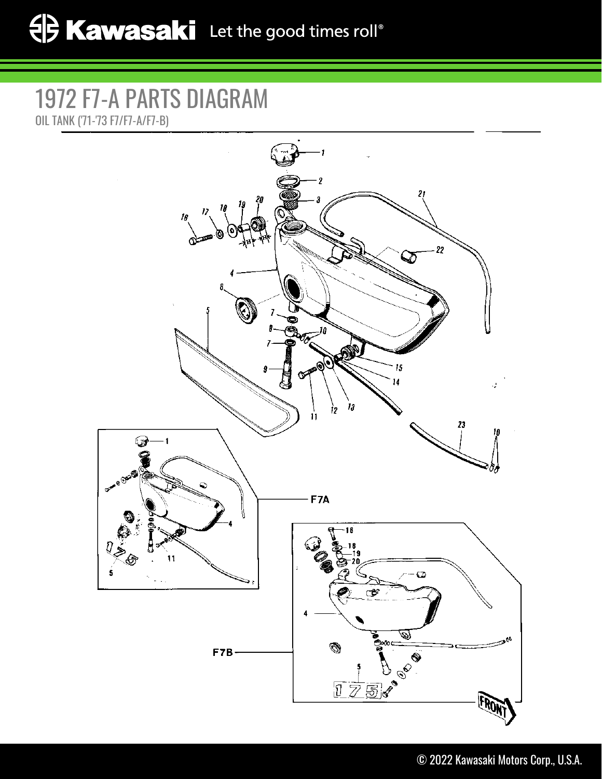## 1972 F7-A PARTS DIAGRAM OIL TANK ('71-'73 F7/F7-A/F7-B)

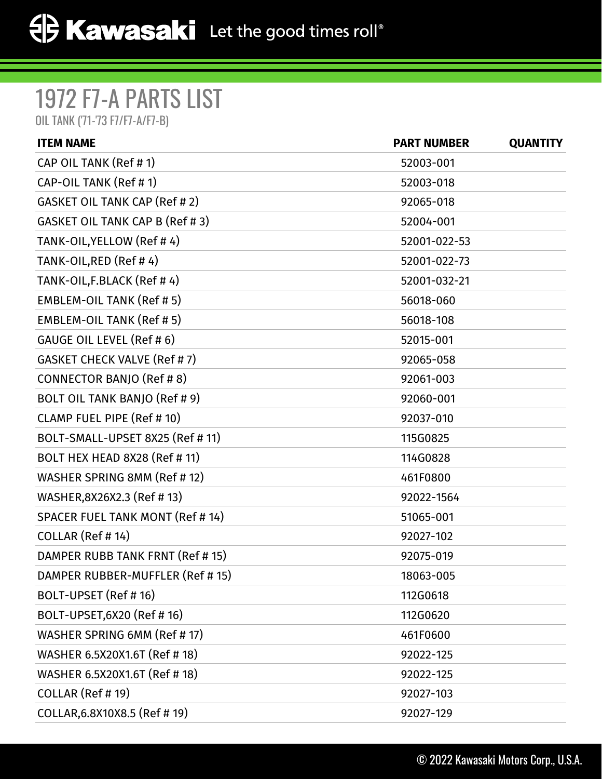## 1972 F7-A PARTS LIST

OIL TANK ('71-'73 F7/F7-A/F7-B)

| <b>ITEM NAME</b>                    | <b>PART NUMBER</b> | <b>QUANTITY</b> |
|-------------------------------------|--------------------|-----------------|
| CAP OIL TANK (Ref # 1)              | 52003-001          |                 |
| CAP-OIL TANK (Ref #1)               | 52003-018          |                 |
| GASKET OIL TANK CAP (Ref # 2)       | 92065-018          |                 |
| GASKET OIL TANK CAP B (Ref # 3)     | 52004-001          |                 |
| TANK-OIL, YELLOW (Ref #4)           | 52001-022-53       |                 |
| TANK-OIL, RED (Ref #4)              | 52001-022-73       |                 |
| TANK-OIL, F.BLACK (Ref #4)          | 52001-032-21       |                 |
| <b>EMBLEM-OIL TANK (Ref #5)</b>     | 56018-060          |                 |
| EMBLEM-OIL TANK (Ref # 5)           | 56018-108          |                 |
| GAUGE OIL LEVEL (Ref # 6)           | 52015-001          |                 |
| <b>GASKET CHECK VALVE (Ref #7)</b>  | 92065-058          |                 |
| CONNECTOR BANJO (Ref # 8)           | 92061-003          |                 |
| BOLT OIL TANK BANJO (Ref # 9)       | 92060-001          |                 |
| CLAMP FUEL PIPE (Ref # 10)          | 92037-010          |                 |
| BOLT-SMALL-UPSET 8X25 (Ref # 11)    | 115G0825           |                 |
| <b>BOLT HEX HEAD 8X28 (Ref #11)</b> | 114G0828           |                 |
| WASHER SPRING 8MM (Ref # 12)        | 461F0800           |                 |
| WASHER, 8X26X2.3 (Ref #13)          | 92022-1564         |                 |
| SPACER FUEL TANK MONT (Ref # 14)    | 51065-001          |                 |
| COLLAR (Ref #14)                    | 92027-102          |                 |
| DAMPER RUBB TANK FRNT (Ref # 15)    | 92075-019          |                 |
| DAMPER RUBBER-MUFFLER (Ref # 15)    | 18063-005          |                 |
| BOLT-UPSET (Ref # 16)               | 112G0618           |                 |
| BOLT-UPSET, 6X20 (Ref # 16)         | 112G0620           |                 |
| WASHER SPRING 6MM (Ref # 17)        | 461F0600           |                 |
| WASHER 6.5X20X1.6T (Ref # 18)       | 92022-125          |                 |
| WASHER 6.5X20X1.6T (Ref # 18)       | 92022-125          |                 |
| COLLAR (Ref # 19)                   | 92027-103          |                 |
| COLLAR, 6.8X10X8.5 (Ref #19)        | 92027-129          |                 |